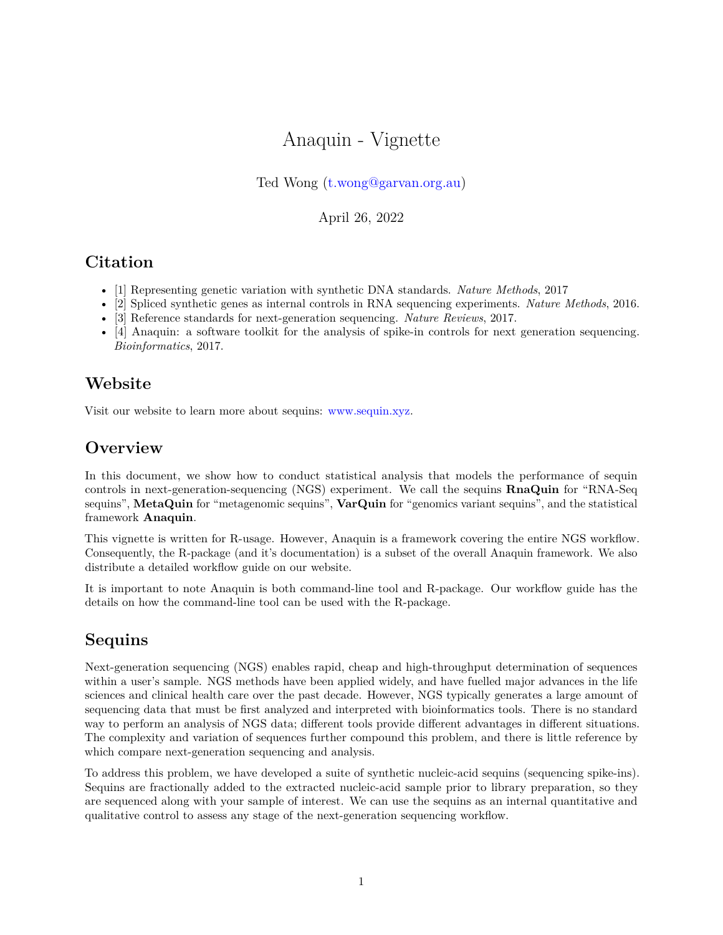# Anaquin - Vignette

#### Ted Wong [\(t.wong@garvan.org.au\)](mailto:t.wong@garvan.org.au)

April 26, 2022

## **Citation**

- [1] Representing genetic variation with synthetic DNA standards. *Nature Methods*, 2017
- [2] Spliced synthetic genes as internal controls in RNA sequencing experiments. *Nature Methods*, 2016.
- [3] Reference standards for next-generation sequencing. *Nature Reviews*, 2017.
- [4] Anaquin: a software toolkit for the analysis of spike-in controls for next generation sequencing. *Bioinformatics*, 2017.

## **Website**

Visit our website to learn more about sequins: [www.sequin.xyz.](www.sequin.xyz)

## **Overview**

In this document, we show how to conduct statistical analysis that models the performance of sequin controls in next-generation-sequencing (NGS) experiment. We call the sequins **RnaQuin** for "RNA-Seq sequins", **MetaQuin** for "metagenomic sequins", **VarQuin** for "genomics variant sequins", and the statistical framework **Anaquin**.

This vignette is written for R-usage. However, Anaquin is a framework covering the entire NGS workflow. Consequently, the R-package (and it's documentation) is a subset of the overall Anaquin framework. We also distribute a detailed workflow guide on our website.

It is important to note Anaquin is both command-line tool and R-package. Our workflow guide has the details on how the command-line tool can be used with the R-package.

## **Sequins**

Next-generation sequencing (NGS) enables rapid, cheap and high-throughput determination of sequences within a user's sample. NGS methods have been applied widely, and have fuelled major advances in the life sciences and clinical health care over the past decade. However, NGS typically generates a large amount of sequencing data that must be first analyzed and interpreted with bioinformatics tools. There is no standard way to perform an analysis of NGS data; different tools provide different advantages in different situations. The complexity and variation of sequences further compound this problem, and there is little reference by which compare next-generation sequencing and analysis.

To address this problem, we have developed a suite of synthetic nucleic-acid sequins (sequencing spike-ins). Sequins are fractionally added to the extracted nucleic-acid sample prior to library preparation, so they are sequenced along with your sample of interest. We can use the sequins as an internal quantitative and qualitative control to assess any stage of the next-generation sequencing workflow.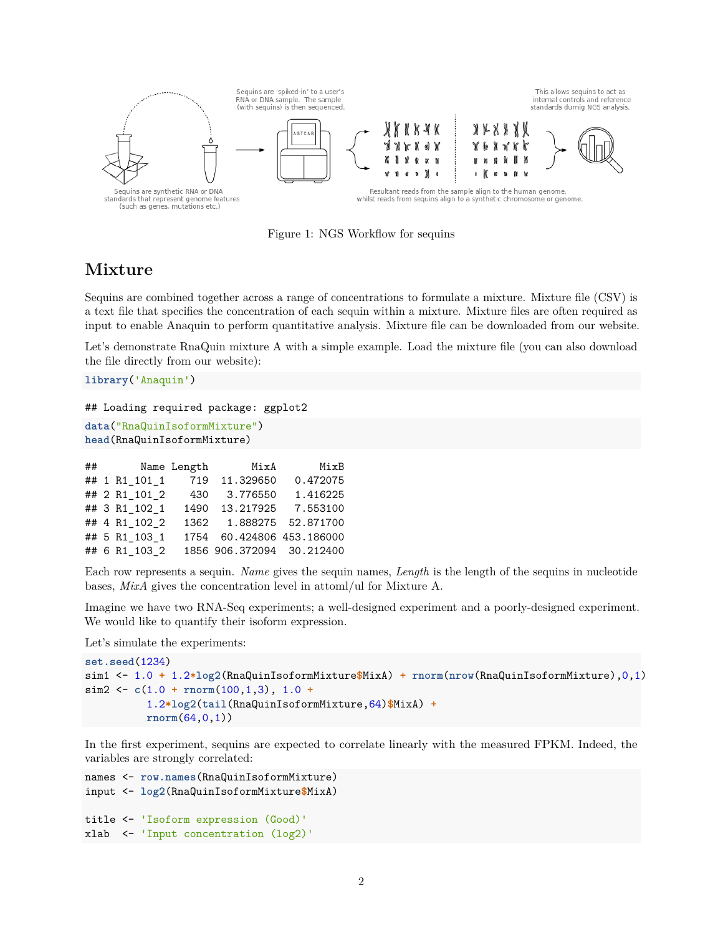

Figure 1: NGS Workflow for sequins

## **Mixture**

Sequins are combined together across a range of concentrations to formulate a mixture. Mixture file (CSV) is a text file that specifies the concentration of each sequin within a mixture. Mixture files are often required as input to enable Anaquin to perform quantitative analysis. Mixture file can be downloaded from our website.

Let's demonstrate RnaQuin mixture A with a simple example. Load the mixture file (you can also download the file directly from our website):

```
library('Anaquin')
```

```
## Loading required package: ggplot2
```
**data**("RnaQuinIsoformMixture") **head**(RnaQuinIsoformMixture)

|  | $\#$ #        |     | Name Length MixA          | MixB     |
|--|---------------|-----|---------------------------|----------|
|  | ## 1 R1 101 1 |     | 719 11.329650             | 0.472075 |
|  | ## 2 R1_101_2 | 430 | 3.776550                  | 1.416225 |
|  | ## 3 R1 102 1 |     | 1490 13.217925            | 7.553100 |
|  | ## 4 R1 102 2 |     | 1362  1.888275  52.871700 |          |
|  | ## 5 R1_103_1 |     | 1754 60.424806 453.186000 |          |
|  | ## 6 R1 103 2 |     | 1856 906.372094 30.212400 |          |

Each row represents a sequin. *Name* gives the sequin names, *Length* is the length of the sequins in nucleotide bases, *MixA* gives the concentration level in attoml/ul for Mixture A.

Imagine we have two RNA-Seq experiments; a well-designed experiment and a poorly-designed experiment. We would like to quantify their isoform expression.

Let's simulate the experiments:

```
set.seed(1234)
sim1 <- 1.0 + 1.2*log2(RnaQuinIsoformMixture$MixA) + rnorm(nrow(RnaQuinIsoformMixture),0,1)
sim2 <- c(1.0 + rnorm(100,1,3), 1.0 +
          1.2*log2(tail(RnaQuinIsoformMixture,64)$MixA) +
          rnorm(64,0,1))
```
In the first experiment, sequins are expected to correlate linearly with the measured FPKM. Indeed, the variables are strongly correlated:

```
names <- row.names(RnaQuinIsoformMixture)
input <- log2(RnaQuinIsoformMixture$MixA)
title <- 'Isoform expression (Good)'
xlab <- 'Input concentration (log2)'
```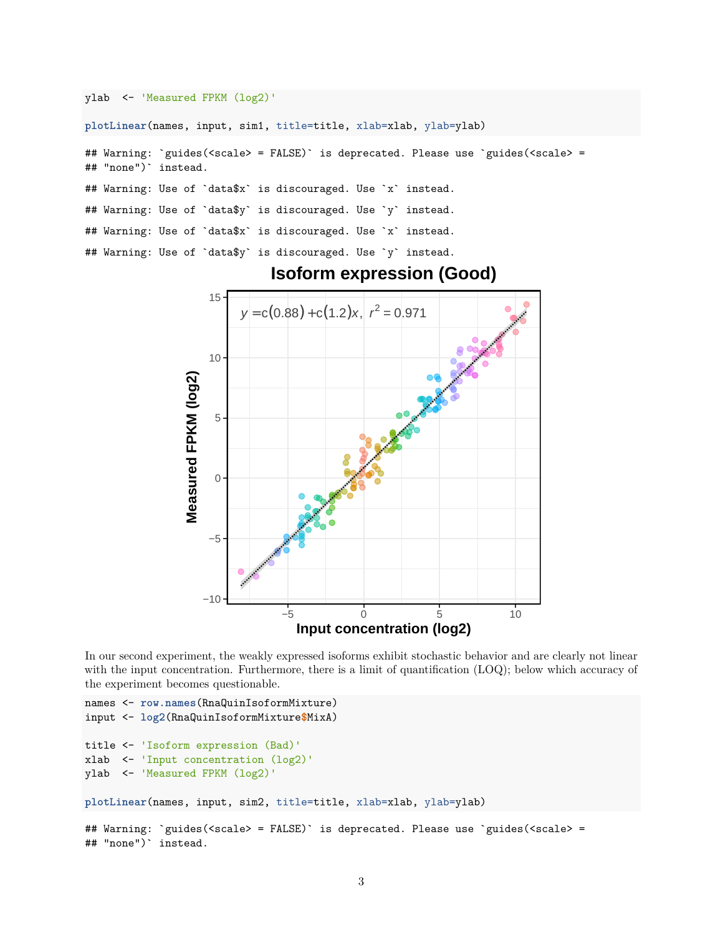ylab <- 'Measured FPKM (log2)'

**plotLinear**(names, input, sim1, title=title, xlab=xlab, ylab=ylab)

## Warning: `guides(<scale> = FALSE)` is deprecated. Please use `guides(<scale> = ## "none")` instead.

## Warning: Use of `data\$x` is discouraged. Use `x` instead.

## Warning: Use of `data\$y` is discouraged. Use `y` instead.

## Warning: Use of `data\$x` is discouraged. Use `x` instead.

## Warning: Use of `data\$y` is discouraged. Use `y` instead.



#### **Isoform expression (Good)**

In our second experiment, the weakly expressed isoforms exhibit stochastic behavior and are clearly not linear with the input concentration. Furthermore, there is a limit of quantification (LOQ); below which accuracy of the experiment becomes questionable.

```
names <- row.names(RnaQuinIsoformMixture)
input <- log2(RnaQuinIsoformMixture$MixA)
title <- 'Isoform expression (Bad)'
xlab <- 'Input concentration (log2)'
ylab <- 'Measured FPKM (log2)'
plotLinear(names, input, sim2, title=title, xlab=xlab, ylab=ylab)
## Warning: `guides(<scale> = FALSE)` is deprecated. Please use `guides(<scale> =
## "none")` instead.
```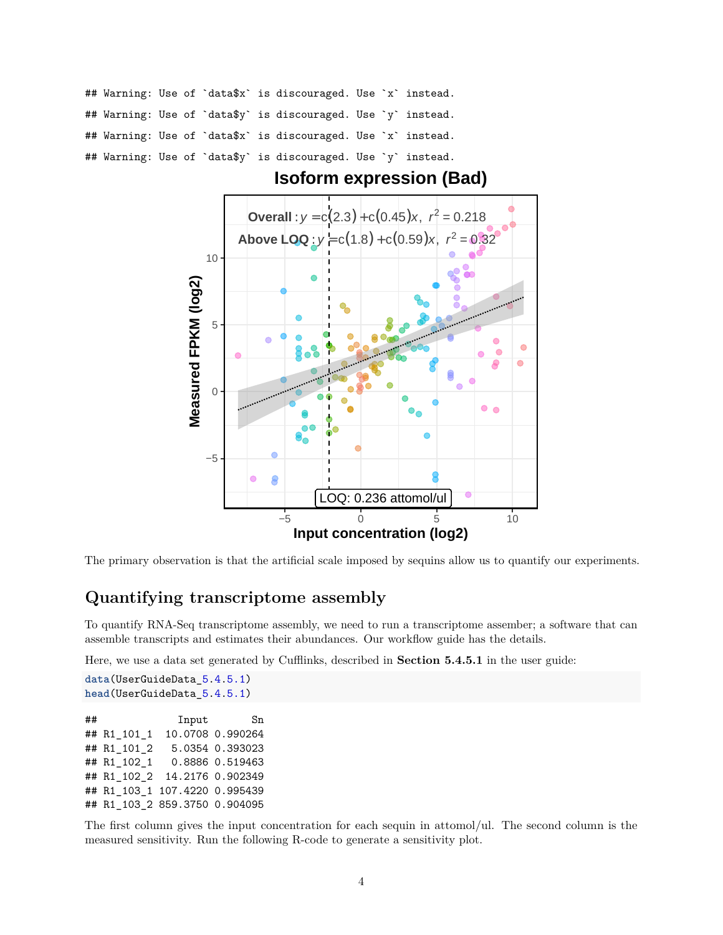## Warning: Use of `data\$x` is discouraged. Use `x` instead. ## Warning: Use of `data\$y` is discouraged. Use `y` instead. ## Warning: Use of `data\$x` is discouraged. Use `x` instead. ## Warning: Use of `data\$y` is discouraged. Use `y` instead.



**Isoform expression (Bad)**

The primary observation is that the artificial scale imposed by sequins allow us to quantify our experiments.

#### **Quantifying transcriptome assembly**

To quantify RNA-Seq transcriptome assembly, we need to run a transcriptome assember; a software that can assemble transcripts and estimates their abundances. Our workflow guide has the details.

Here, we use a data set generated by Cufflinks, described in **Section 5.4.5.1** in the user guide:

**data**(UserGuideData\_5.4.5.1) **head**(UserGuideData\_5.4.5.1) ## Input Sn ## R1\_101\_1 10.0708 0.990264 ## R1\_101\_2 5.0354 0.393023 ## R1\_102\_1 0.8886 0.519463 ## R1\_102\_2 14.2176 0.902349 ## R1\_103\_1 107.4220 0.995439 ## R1\_103\_2 859.3750 0.904095

The first column gives the input concentration for each sequin in attomol/ul. The second column is the measured sensitivity. Run the following R-code to generate a sensitivity plot.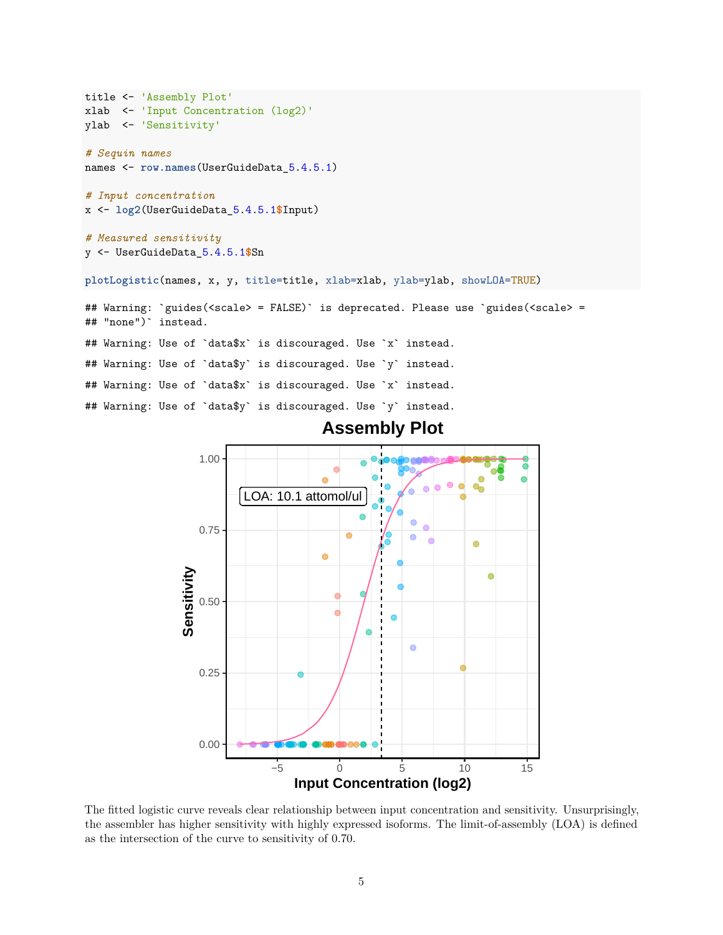```
title <- 'Assembly Plot'
xlab <- 'Input Concentration (log2)'
ylab <- 'Sensitivity'
# Sequin names
names <- row.names(UserGuideData_5.4.5.1)
# Input concentration
x <- log2(UserGuideData_5.4.5.1$Input)
# Measured sensitivity
y <- UserGuideData_5.4.5.1$Sn
plotLogistic(names, x, y, title=title, xlab=xlab, ylab=ylab, showLOA=TRUE)
## Warning: `guides(<scale> = FALSE)` is deprecated. Please use `guides(<scale> =
## "none")` instead.
## Warning: Use of `data$x` is discouraged. Use `x` instead.
## Warning: Use of `data$y` is discouraged. Use `y` instead.
## Warning: Use of `data$x` is discouraged. Use `x` instead.
## Warning: Use of `data$y` is discouraged. Use `y` instead.
                                      Assembly Plot
```


The fitted logistic curve reveals clear relationship between input concentration and sensitivity. Unsurprisingly, the assembler has higher sensitivity with highly expressed isoforms. The limit-of-assembly (LOA) is defined as the intersection of the curve to sensitivity of 0.70.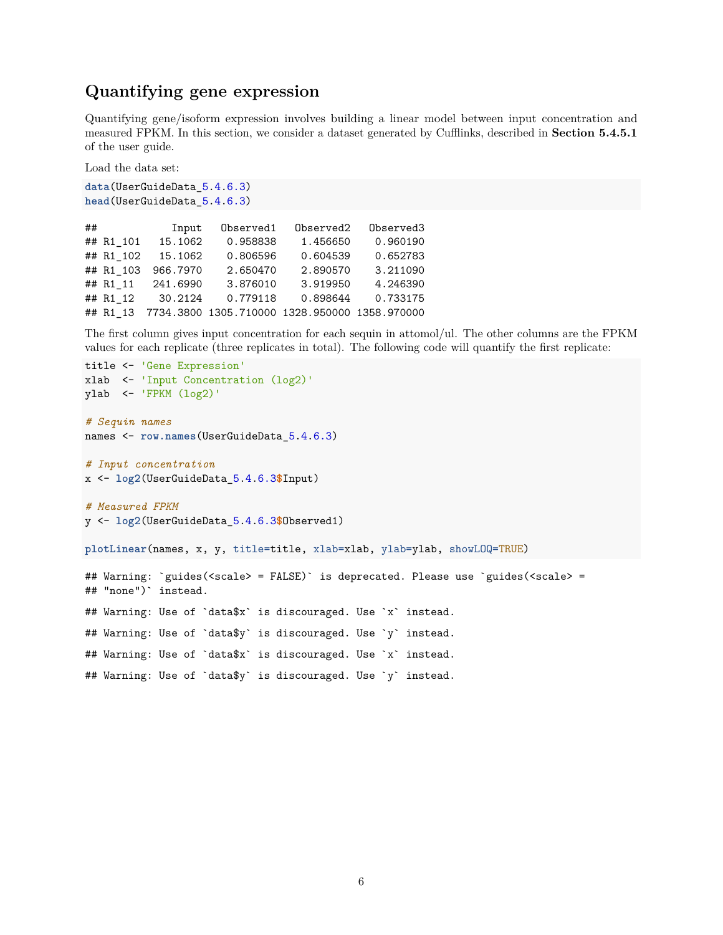### **Quantifying gene expression**

Quantifying gene/isoform expression involves building a linear model between input concentration and measured FPKM. In this section, we consider a dataset generated by Cufflinks, described in **Section 5.4.5.1** of the user guide.

Load the data set:

```
data(UserGuideData_5.4.6.3)
head(UserGuideData_5.4.6.3)
```

| ## |           | Input    | Observed1 | Observed2                                     | Observed3 |
|----|-----------|----------|-----------|-----------------------------------------------|-----------|
|    | ## R1 101 | 15.1062  | 0.958838  | 1.456650                                      | 0.960190  |
|    | ## R1 102 | 15.1062  | 0.806596  | 0.604539                                      | 0.652783  |
|    | ## R1 103 | 966.7970 | 2.650470  | 2.890570                                      | 3.211090  |
|    | ## R1 11  | 241.6990 | 3.876010  | 3.919950                                      | 4.246390  |
|    | ## R1 12  | 30.2124  | 0.779118  | 0.898644                                      | 0.733175  |
|    | ## R1 13  |          |           | 7734.3800 1305.710000 1328.950000 1358.970000 |           |

The first column gives input concentration for each sequin in attomol/ul. The other columns are the FPKM values for each replicate (three replicates in total). The following code will quantify the first replicate:

```
title <- 'Gene Expression'
xlab <- 'Input Concentration (log2)'
ylab <- 'FPKM (log2)'
# Sequin names
names <- row.names(UserGuideData_5.4.6.3)
# Input concentration
x <- log2(UserGuideData_5.4.6.3$Input)
# Measured FPKM
y <- log2(UserGuideData_5.4.6.3$Observed1)
plotLinear(names, x, y, title=title, xlab=xlab, ylab=ylab, showLOQ=TRUE)
## Warning: `guides(<scale> = FALSE)` is deprecated. Please use `guides(<scale> =
## "none")` instead.
## Warning: Use of `data$x` is discouraged. Use `x` instead.
## Warning: Use of `data$y` is discouraged. Use `y` instead.
## Warning: Use of `data$x` is discouraged. Use `x` instead.
## Warning: Use of `data$y` is discouraged. Use `y` instead.
```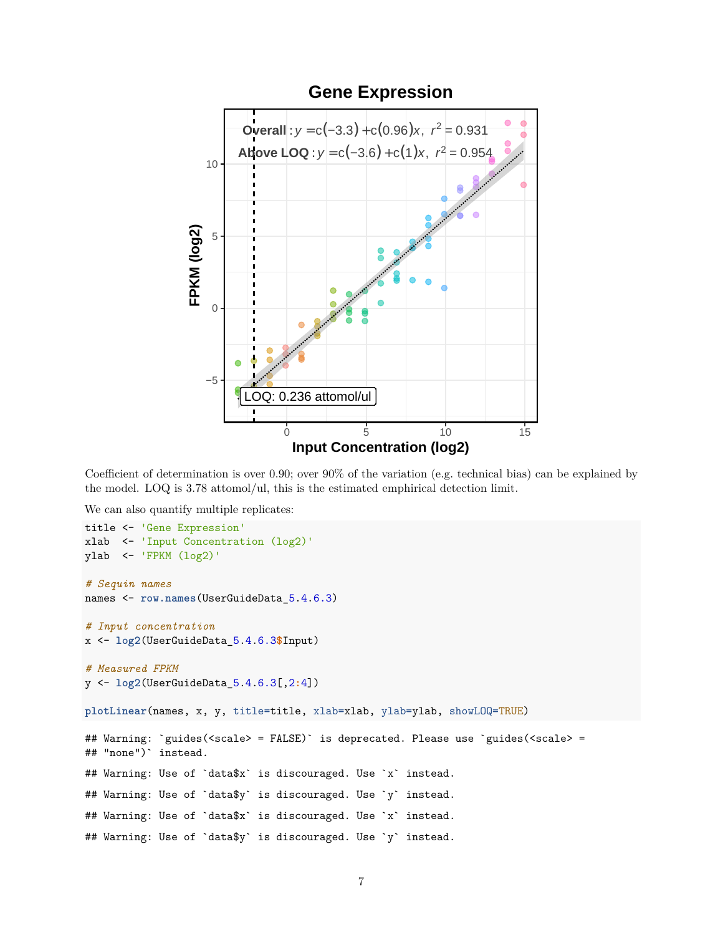

Coefficient of determination is over 0.90; over 90% of the variation (e.g. technical bias) can be explained by the model. LOQ is 3.78 attomol/ul, this is the estimated emphirical detection limit.

We can also quantify multiple replicates:

```
title <- 'Gene Expression'
xlab <- 'Input Concentration (log2)'
ylab \leftarrow 'FPKM (log2)'# Sequin names
names <- row.names(UserGuideData_5.4.6.3)
# Input concentration
x <- log2(UserGuideData_5.4.6.3$Input)
# Measured FPKM
y <- log2(UserGuideData_5.4.6.3[,2:4])
plotLinear(names, x, y, title=title, xlab=xlab, ylab=ylab, showLOQ=TRUE)
## Warning: `guides(<scale> = FALSE)` is deprecated. Please use `guides(<scale> =
## "none")` instead.
## Warning: Use of `data$x` is discouraged. Use `x` instead.
## Warning: Use of `data$y` is discouraged. Use `y` instead.
## Warning: Use of `data$x` is discouraged. Use `x` instead.
## Warning: Use of `data$y` is discouraged. Use `y` instead.
```
## **Gene Expression**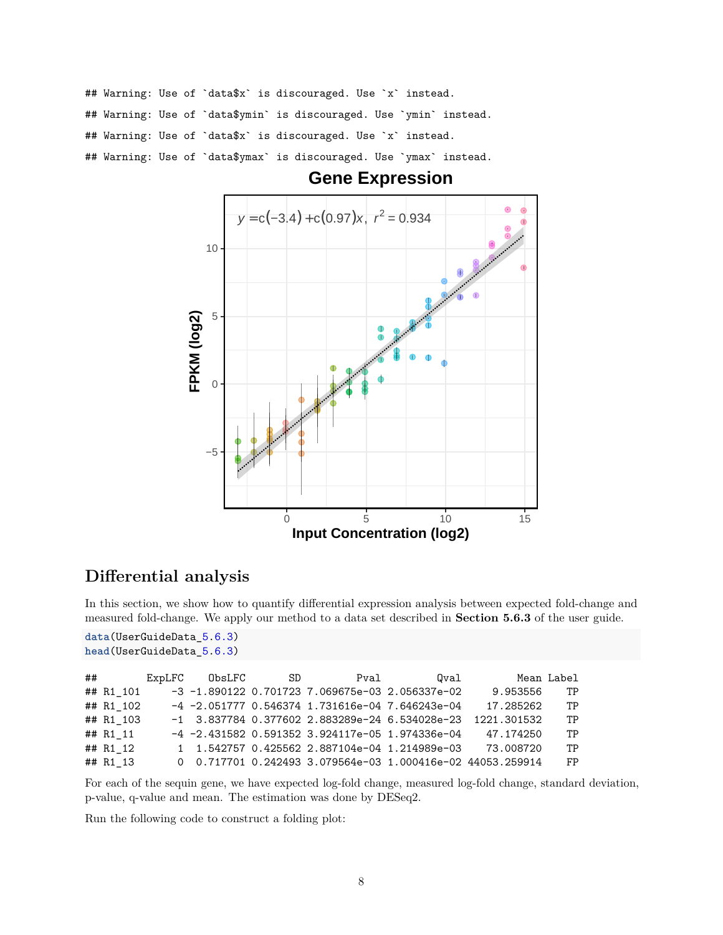## Warning: Use of `data\$x` is discouraged. Use `x` instead. ## Warning: Use of `data\$ymin` is discouraged. Use `ymin` instead. ## Warning: Use of `data\$x` is discouraged. Use `x` instead. ## Warning: Use of `data\$ymax` is discouraged. Use `ymax` instead.



## **Gene Expression**

## **Differential analysis**

In this section, we show how to quantify differential expression analysis between expected fold-change and measured fold-change. We apply our method to a data set described in **Section 5.6.3** of the user guide.

```
data(UserGuideData_5.6.3)
head(UserGuideData_5.6.3)
```

| ## |           | ExpLFC | ObsLFC | SD | Pval                                                | Oval                                                       |             | Mean Label |
|----|-----------|--------|--------|----|-----------------------------------------------------|------------------------------------------------------------|-------------|------------|
|    | ## R1 101 |        |        |    |                                                     | $-3$ -1.890122 0.701723 7.069675e-03 2.056337e-02          | 9.953556    | TP         |
|    | ## R1 102 |        |        |    | $-4$ -2.051777 0.546374 1.731616e-04 7.646243e-04   |                                                            | 17.285262   | TP         |
|    | ## R1 103 |        |        |    |                                                     | $-1$ 3.837784 0.377602 2.883289e-24 6.534028e-23           | 1221.301532 | TP         |
|    | ## R1 11  |        |        |    | $-4$ $-2.431582$ 0.591352 3.924117e-05 1.974336e-04 |                                                            | 47.174250   | TP         |
|    | ## R1 12  |        |        |    |                                                     | 1 1.542757 0.425562 2.887104e-04 1.214989e-03              | 73.008720   | TP         |
|    | ## R1 13  |        |        |    |                                                     | 0 0.717701 0.242493 3.079564e-03 1.000416e-02 44053.259914 |             | FP.        |

For each of the sequin gene, we have expected log-fold change, measured log-fold change, standard deviation, p-value, q-value and mean. The estimation was done by DESeq2.

Run the following code to construct a folding plot: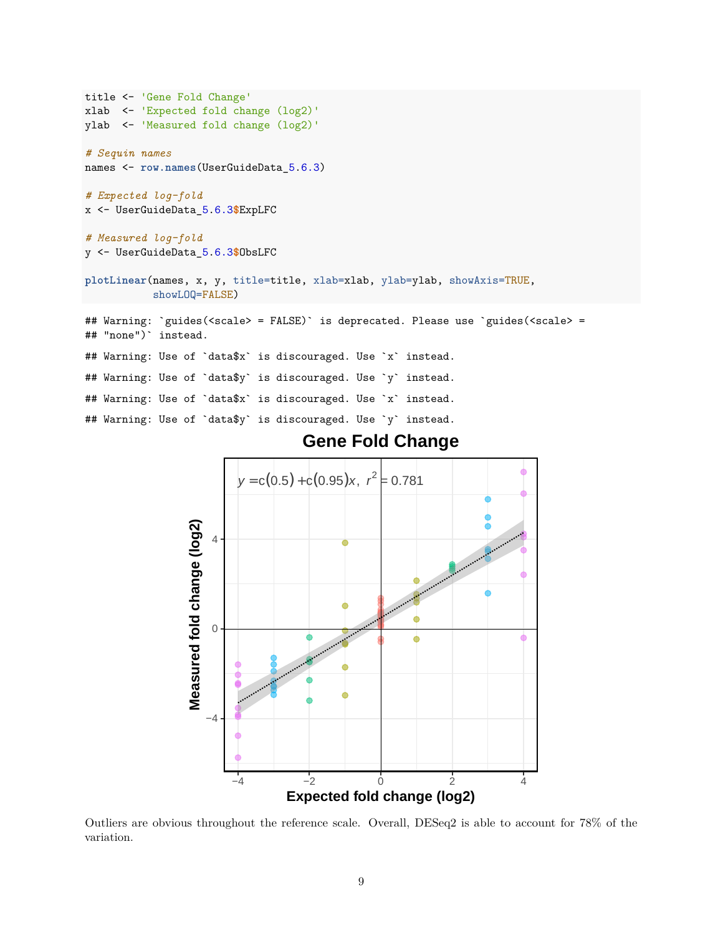```
title <- 'Gene Fold Change'
xlab <- 'Expected fold change (log2)'
ylab <- 'Measured fold change (log2)'
# Sequin names
names <- row.names(UserGuideData_5.6.3)
# Expected log-fold
x <- UserGuideData_5.6.3$ExpLFC
# Measured log-fold
y <- UserGuideData_5.6.3$ObsLFC
plotLinear(names, x, y, title=title, xlab=xlab, ylab=ylab, showAxis=TRUE,
           showLOQ=FALSE)
## Warning: `guides(<scale> = FALSE)' is deprecated. Please use 'guides(<scale> =
## "none")` instead.
## Warning: Use of `data$x` is discouraged. Use `x` instead.
## Warning: Use of `data$y` is discouraged. Use `y` instead.
## Warning: Use of `data$x` is discouraged. Use `x` instead.
## Warning: Use of `data$y` is discouraged. Use `y` instead.
```


**Gene Fold Change**

Outliers are obvious throughout the reference scale. Overall, DESeq2 is able to account for 78% of the variation.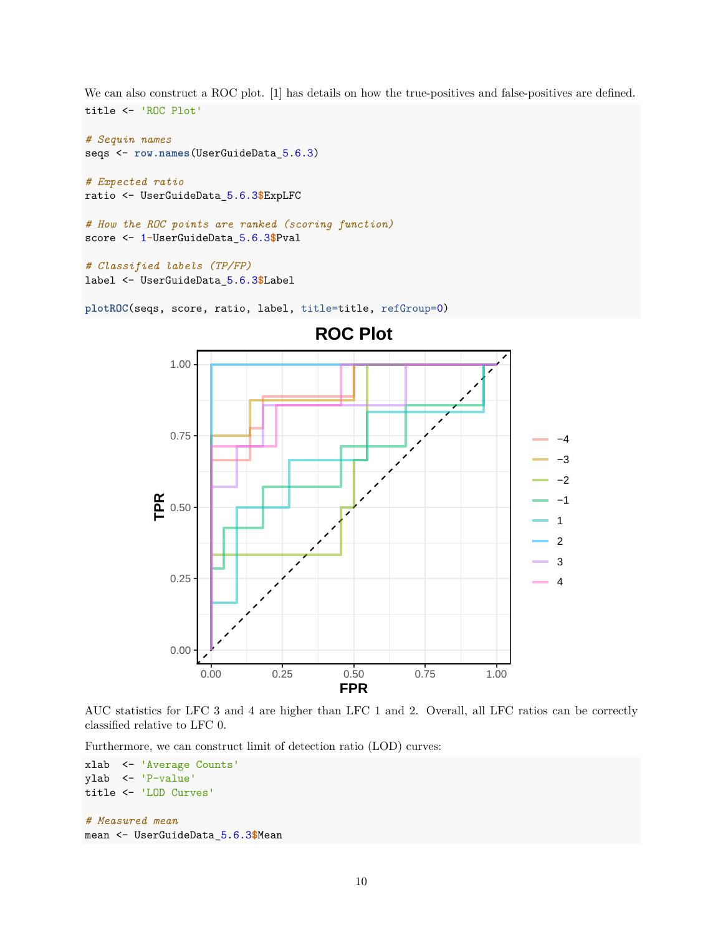We can also construct a ROC plot. [1] has details on how the true-positives and false-positives are defined. title <- 'ROC Plot'

```
# Sequin names
seqs <- row.names(UserGuideData_5.6.3)
# Expected ratio
ratio <- UserGuideData_5.6.3$ExpLFC
# How the ROC points are ranked (scoring function)
score <- 1-UserGuideData_5.6.3$Pval
```

```
# Classified labels (TP/FP)
label <- UserGuideData_5.6.3$Label
```
**plotROC**(seqs, score, ratio, label, title=title, refGroup=0)



AUC statistics for LFC 3 and 4 are higher than LFC 1 and 2. Overall, all LFC ratios can be correctly classified relative to LFC 0.

Furthermore, we can construct limit of detection ratio (LOD) curves:

```
xlab <- 'Average Counts'
ylab <- 'P-value'
title <- 'LOD Curves'
# Measured mean
mean <- UserGuideData_5.6.3$Mean
```